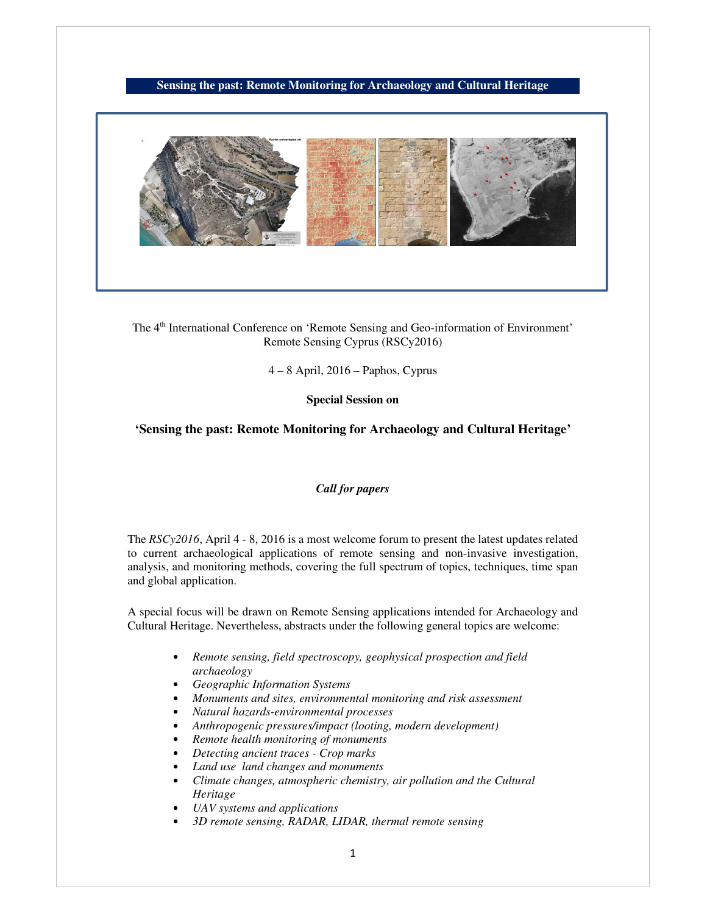# **Sensing the past: Remote Monitoring for Archaeology and Cultural Heritage**



The 4<sup>th</sup> International Conference on 'Remote Sensing and Geo-information of Environment' Remote Sensing Cyprus (RSCy2016)

4 – 8 April, 2016 – Paphos, Cyprus

**Special Session on** 

#### **'Sensing the past: Remote Monitoring for Archaeology and Cultural Heritage'**

## *Call for papers*

The *RSCy2016*, April 4 - 8, 2016 is a most welcome forum to present the latest updates related to current archaeological applications of remote sensing and non-invasive investigation, analysis, and monitoring methods, covering the full spectrum of topics, techniques, time span and global application.

A special focus will be drawn on Remote Sensing applications intended for Archaeology and Cultural Heritage. Nevertheless, abstracts under the following general topics are welcome:

- *Remote sensing, field spectroscopy, geophysical prospection and field archaeology*
- *Geographic Information Systems*
- *Monuments and sites, environmental monitoring and risk assessment*
- *Natural hazards-environmental processes*
- *Anthropogenic pressures/impact (looting, modern development)*
- *Remote health monitoring of monuments*
- *Detecting ancient traces Crop marks*
- *Land use land changes and monuments*
- *Climate changes, atmospheric chemistry, air pollution and the Cultural Heritage*
- *UAV systems and applications*
- *3D remote sensing, RADAR, LIDAR, thermal remote sensing*